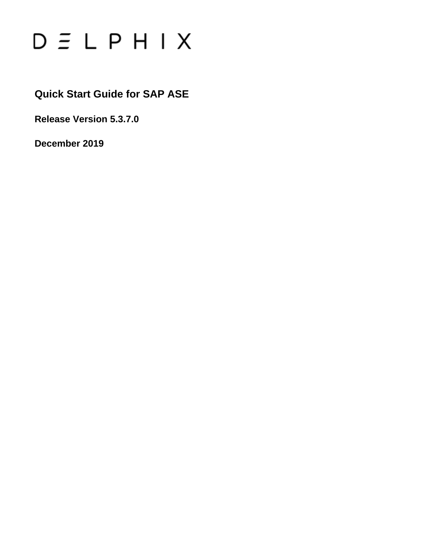

## **Quick Start Guide for SAP ASE**

**Release Version 5.3.7.0**

**December 2019**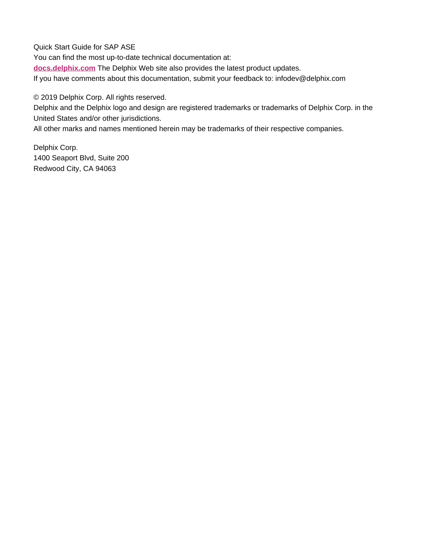Quick Start Guide for SAP ASE

You can find the most up-to-date technical documentation at:

**[docs.delphix.com](http://docs.delphix.com)** The Delphix Web site also provides the latest product updates.

If you have comments about this documentation, submit your feedback to: infodev@delphix.com

© 2019 Delphix Corp. All rights reserved.

Delphix and the Delphix logo and design are registered trademarks or trademarks of Delphix Corp. in the United States and/or other jurisdictions.

All other marks and names mentioned herein may be trademarks of their respective companies.

Delphix Corp. 1400 Seaport Blvd, Suite 200 Redwood City, CA 94063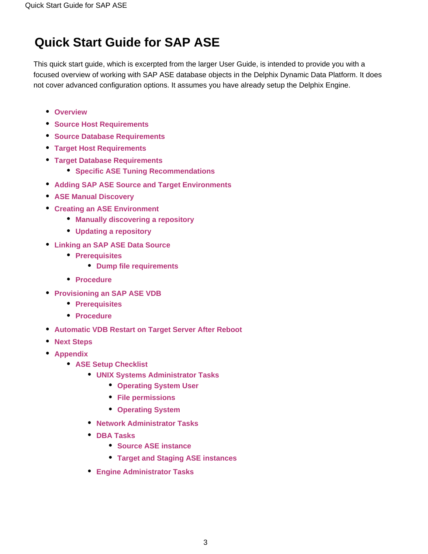# **Quick Start Guide for SAP ASE**

This quick start guide, which is excerpted from the larger User Guide, is intended to provide you with a focused overview of working with SAP ASE database objects in the Delphix Dynamic Data Platform. It does not cover advanced configuration options. It assumes you have already setup the Delphix Engine.

- **[Overview](#page-2-0)**
- **[Source Host Requirements](#page-4-0)**
- **[Source Database Requirements](#page-5-0)**
- **[Target Host Requirements](#page-6-0)**
- **[Target Database Requirements](#page-8-0)**
	- **[Specific ASE Tuning Recommendations](#page-8-1)**
- **[Adding SAP ASE Source and Target Environments](#page-9-0)**
- **[ASE Manual Discovery](#page-10-0)**
- **[Creating an ASE Environment](#page-10-1)**
	- **[Manually discovering a repository](#page-10-2)**
	- **[Updating a repository](#page-11-0)**
- **[Linking an SAP ASE Data Source](#page-12-0)**
	- **[Prerequisites](#page-12-1)**
		- **[Dump file requirements](#page-12-2)**
	- **[Procedure](#page-12-3)**
- **[Provisioning an SAP ASE VDB](#page-16-0)**
	- **[Prerequisites](#page-16-1)**
	- **[Procedure](#page-16-2)**
- **[Automatic VDB Restart on Target Server After Reboot](#page-17-0)**
- **[Next Steps](#page-18-0)**
- <span id="page-2-0"></span>**[Appendix](#page-18-1)**
	- **[ASE Setup Checklist](#page-18-2)**
		- **[UNIX Systems Administrator Tasks](#page-18-3)**
			- **[Operating System User](#page-18-4)**
			- **[File permissions](#page-19-0)**
			- **[Operating System](#page-19-1)**
		- **[Network Administrator Tasks](#page-19-2)**
		- **[DBA Tasks](#page-19-3)** 
			- **[Source ASE instance](#page-19-4)**
			- **[Target and Staging ASE instances](#page-19-5)**
		- **[Engine Administrator Tasks](#page-19-6)**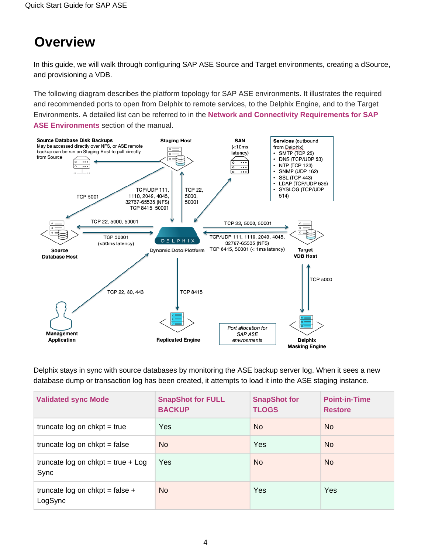# **Overview**

In this guide, we will walk through configuring SAP ASE Source and Target environments, creating a dSource, and provisioning a VDB.

The following diagram describes the platform topology for SAP ASE environments. It illustrates the required and recommended ports to open from Delphix to remote services, to the Delphix Engine, and to the Target Environments. A detailed list can be referred to in the **[Network and Connectivity Requirements for SAP](https://docs.delphix.com/display/DOCS537/Network+and+Connectivity+Requirements+for+SAP+ASE+Environments)  [ASE Environments](https://docs.delphix.com/display/DOCS537/Network+and+Connectivity+Requirements+for+SAP+ASE+Environments)** section of the manual.



Delphix stays in sync with source databases by monitoring the ASE backup server log. When it sees a new database dump or transaction log has been created, it attempts to load it into the ASE staging instance.

| <b>Validated sync Mode</b>                   | <b>SnapShot for FULL</b><br><b>BACKUP</b> | <b>SnapShot for</b><br><b>TLOGS</b> | <b>Point-in-Time</b><br><b>Restore</b> |
|----------------------------------------------|-------------------------------------------|-------------------------------------|----------------------------------------|
| truncate $log on chkpt = true$               | Yes                                       | <b>No</b>                           | N <sub>o</sub>                         |
| truncate $log on chkpt = false$              | <b>No</b>                                 | Yes                                 | N <sub>o</sub>                         |
| truncate log on chkpt = true + $Log$<br>Sync | Yes                                       | <b>No</b>                           | N <sub>o</sub>                         |
| truncate log on chkpt = false +<br>LogSync   | N <sub>o</sub>                            | Yes                                 | Yes                                    |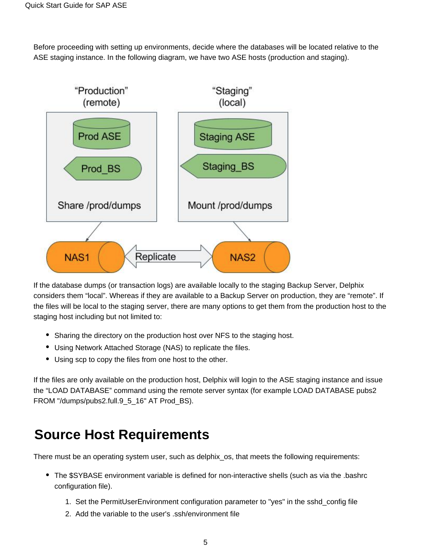Before proceeding with setting up environments, decide where the databases will be located relative to the ASE staging instance. In the following diagram, we have two ASE hosts (production and staging).



If the database dumps (or transaction logs) are available locally to the staging Backup Server, Delphix considers them "local". Whereas if they are available to a Backup Server on production, they are "remote". If the files will be local to the staging server, there are many options to get them from the production host to the staging host including but not limited to:

- Sharing the directory on the production host over NFS to the staging host.
- Using Network Attached Storage (NAS) to replicate the files.
- Using scp to copy the files from one host to the other.

If the files are only available on the production host, Delphix will login to the ASE staging instance and issue the "LOAD DATABASE" command using the remote server syntax (for example LOAD DATABASE pubs2 FROM "/dumps/pubs2.full.9\_5\_16" AT Prod\_BS).

# <span id="page-4-0"></span>**Source Host Requirements**

There must be an operating system user, such as delphix\_os, that meets the following requirements:

- The \$SYBASE environment variable is defined for non-interactive shells (such as via the .bashrc configuration file).
	- 1. Set the PermitUserEnvironment configuration parameter to "yes" in the sshd\_config file
	- 2. Add the variable to the user's .ssh/environment file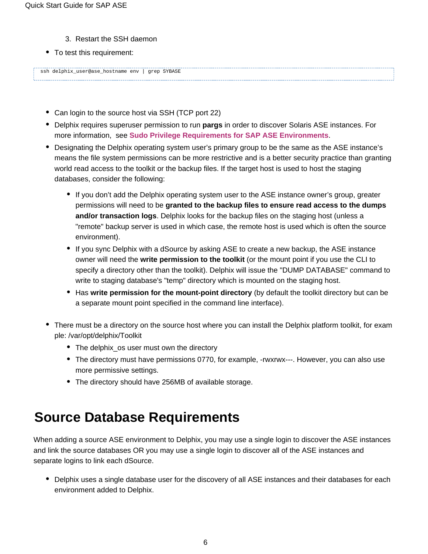- 3. Restart the SSH daemon
- To test this requirement:

ssh delphix\_user@ase\_hostname env | grep SYBASE

- Can login to the source host via SSH (TCP port 22)
- Delphix requires superuser permission to run **pargs** in order to discover Solaris ASE instances. For more information, see **[Sudo Privilege Requirements for SAP ASE Environments](https://docs.delphix.com/display/DOCS537/Sudo+Privilege+Requirements+for+SAP+ASE+Environments)**.
- Designating the Delphix operating system user's primary group to be the same as the ASE instance's means the file system permissions can be more restrictive and is a better security practice than granting world read access to the toolkit or the backup files. If the target host is used to host the staging databases, consider the following:
	- If you don't add the Delphix operating system user to the ASE instance owner's group, greater permissions will need to be **granted to the backup files to ensure read access to the dumps and/or transaction logs**. Delphix looks for the backup files on the staging host (unless a "remote" backup server is used in which case, the remote host is used which is often the source environment).
	- If you sync Delphix with a dSource by asking ASE to create a new backup, the ASE instance owner will need the **write permission to the toolkit** (or the mount point if you use the CLI to specify a directory other than the toolkit). Delphix will issue the "DUMP DATABASE" command to write to staging database's "temp" directory which is mounted on the staging host.
	- **Has write permission for the mount-point directory** (by default the toolkit directory but can be a separate mount point specified in the command line interface).
- There must be a directory on the source host where you can install the Delphix platform toolkit, for exam ple: /var/opt/delphix/Toolkit
	- The delphix os user must own the directory
	- The directory must have permissions 0770, for example, -rwxrwx---. However, you can also use more permissive settings.
	- The directory should have 256MB of available storage.

# <span id="page-5-0"></span>**Source Database Requirements**

When adding a source ASE environment to Delphix, you may use a single login to discover the ASE instances and link the source databases OR you may use a single login to discover all of the ASE instances and separate logins to link each dSource.

Delphix uses a single database user for the discovery of all ASE instances and their databases for each environment added to Delphix.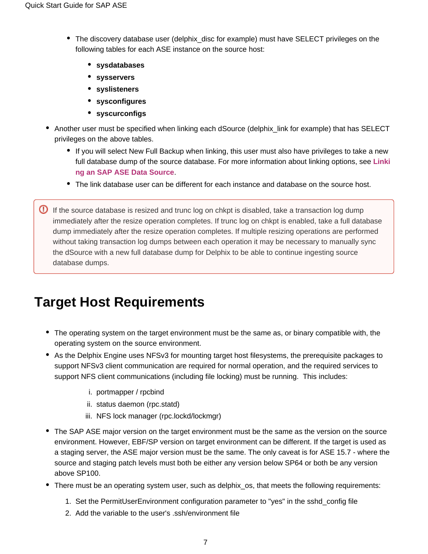- The discovery database user (delphix disc for example) must have SELECT privileges on the following tables for each ASE instance on the source host:
	- **sysdatabases**
	- **sysservers**
	- **syslisteners**
	- **sysconfigures**
	- **syscurconfigs**
- Another user must be specified when linking each dSource (delphix link for example) that has SELECT privileges on the above tables.
	- If you will select New Full Backup when linking, this user must also have privileges to take a new full database dump of the source database. For more information about linking options, see **[Linki](https://docs.delphix.com/display/DOCS537/Linking+an+SAP+ASE+Data+Source) [ng an SAP ASE Data Source](https://docs.delphix.com/display/DOCS537/Linking+an+SAP+ASE+Data+Source)**.
	- The link database user can be different for each instance and database on the source host.
- $\bullet$  If the source database is resized and trunc log on chkpt is disabled, take a transaction log dump immediately after the resize operation completes. If trunc log on chkpt is enabled, take a full database dump immediately after the resize operation completes. If multiple resizing operations are performed without taking transaction log dumps between each operation it may be necessary to manually sync the dSource with a new full database dump for Delphix to be able to continue ingesting source database dumps.

# <span id="page-6-1"></span><span id="page-6-0"></span>**Target Host Requirements**

- The operating system on the target environment must be the same as, or binary compatible with, the operating system on the source environment.
- As the Delphix Engine uses NFSv3 for mounting target host filesystems, the prerequisite packages to support NFSv3 client communication are required for normal operation, and the required services to support NFS client communications (including file locking) must be running. This includes:
	- i. portmapper / rpcbind
	- ii. status daemon (rpc.statd)
	- iii. NFS lock manager (rpc.lockd/lockmgr)
- The SAP ASE major version on the target environment must be the same as the version on the source environment. However, EBF/SP version on target environment can be different. If the target is used as a staging server, the ASE major version must be the same. The only caveat is for ASE 15.7 - where the source and staging patch levels must both be either any version below SP64 or both be any version above SP100.
- There must be an operating system user, such as delphix os, that meets the following requirements:
	- 1. Set the PermitUserEnvironment configuration parameter to "yes" in the sshd\_config file
	- 2. Add the variable to the user's .ssh/environment file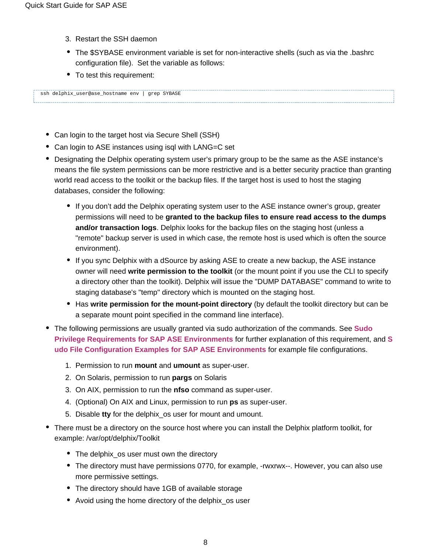- 3. Restart the SSH daemon
- The \$SYBASE environment variable is set for non-interactive shells (such as via the .bashrc configuration file). Set the variable as follows:
- To test this requirement:

ssh delphix\_user@ase\_hostname env | grep SYBASE

- Can login to the target host via Secure Shell (SSH)
- Can login to ASE instances using isql with LANG=C set
- Designating the Delphix operating system user's primary group to be the same as the ASE instance's means the file system permissions can be more restrictive and is a better security practice than granting world read access to the toolkit or the backup files. If the target host is used to host the staging databases, consider the following:
	- If you don't add the Delphix operating system user to the ASE instance owner's group, greater permissions will need to be **granted to the backup files to ensure read access to the dumps and/or transaction logs**. Delphix looks for the backup files on the staging host (unless a "remote" backup server is used in which case, the remote host is used which is often the source environment).
	- If you sync Delphix with a dSource by asking ASE to create a new backup, the ASE instance owner will need **write permission to the toolkit** (or the mount point if you use the CLI to specify a directory other than the toolkit). Delphix will issue the "DUMP DATABASE" command to write to staging database's "temp" directory which is mounted on the staging host.
	- **Has write permission for the mount-point directory** (by default the toolkit directory but can be a separate mount point specified in the command line interface).
- The following permissions are usually granted via sudo authorization of the commands. See **[Sudo](https://docs.delphix.com/display/DOCSDEV/.Sudo+Privilege+Requirements+for+SAP+ASE+Environments+vJocacean)  [Privilege Requirements for SAP ASE Environments](https://docs.delphix.com/display/DOCSDEV/.Sudo+Privilege+Requirements+for+SAP+ASE+Environments+vJocacean)** for further explanation of this requirement, and **[S](https://docs.delphix.com/display/DOCSDEV/.Sudo+File+Configuration+Examples+for+SAP+ASE+Environments+vJocacean) [udo File Configuration Examples for SAP ASE Environments](https://docs.delphix.com/display/DOCSDEV/.Sudo+File+Configuration+Examples+for+SAP+ASE+Environments+vJocacean)** for example file configurations.
	- 1. Permission to run **mount** and **umount** as super-user.
	- 2. On Solaris, permission to run **pargs** on Solaris
	- 3. On AIX, permission to run the **nfso** command as super-user.
	- 4. (Optional) On AIX and Linux, permission to run **ps** as super-user.
	- 5. Disable **tty** for the delphix\_os user for mount and umount.
- <span id="page-7-0"></span>There must be a directory on the source host where you can install the Delphix platform toolkit, for example: /var/opt/delphix/Toolkit
	- The delphix\_os user must own the directory
	- The directory must have permissions 0770, for example, -rwxrwx--. However, you can also use more permissive settings.
	- The directory should have 1GB of available storage
	- Avoid using the home directory of the delphix os user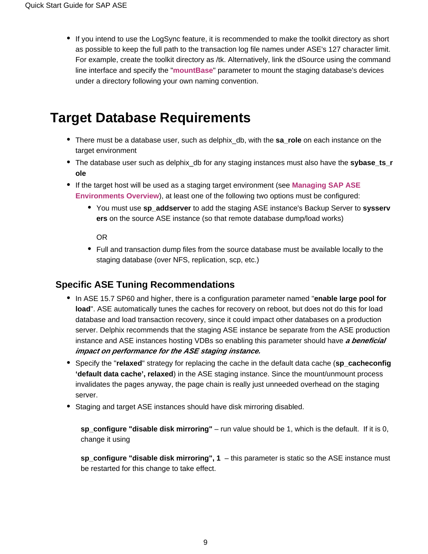If you intend to use the LogSync feature, it is recommended to make the toolkit directory as short as possible to keep the full path to the transaction log file names under ASE's 127 character limit. For example, create the toolkit directory as /tk. Alternatively, link the dSource using the command line interface and specify the "**[mountBase](https://docs.delphix.com/display/DOCSDEV/.CLI+Cookbook%3A+Linking+an+ASE+Database+Loading+from+the+Last+Full+Backup+of+the+Source+Database+vKryptonMaint)**" parameter to mount the staging database's devices under a directory following your own naming convention.

# <span id="page-8-0"></span>**Target Database Requirements**

- There must be a database user, such as delphix\_db, with the **sa\_role** on each instance on the target environment
- The database user such as delphix db for any staging instances must also have the **sybase** ts r **ole**
- If the target host will be used as a staging target environment (see **[Managing SAP ASE](https://docs.delphix.com/display/DOCSDEV/.Managing+SAP+ASE+Environments+Overview+vJocacean)  [Environments Overview](https://docs.delphix.com/display/DOCSDEV/.Managing+SAP+ASE+Environments+Overview+vJocacean)**), at least one of the following two options must be configured:
	- You must use **sp\_addserver** to add the staging ASE instance's Backup Server to **sysserv ers** on the source ASE instance (so that remote database dump/load works)

OR

• Full and transaction dump files from the source database must be available locally to the staging database (over NFS, replication, scp, etc.)

### <span id="page-8-1"></span>**Specific ASE Tuning Recommendations**

- In ASE 15.7 SP60 and higher, there is a configuration parameter named "**enable large pool for load**". ASE automatically tunes the caches for recovery on reboot, but does not do this for load database and load transaction recovery, since it could impact other databases on a production server. Delphix recommends that the staging ASE instance be separate from the ASE production instance and ASE instances hosting VDBs so enabling this parameter should have **a beneficial impact on performance for the ASE staging instance.**
- Specify the "**relaxed**" strategy for replacing the cache in the default data cache (**sp\_cacheconfig 'default data cache', relaxed**) in the ASE staging instance. Since the mount/unmount process invalidates the pages anyway, the page chain is really just unneeded overhead on the staging server.
- Staging and target ASE instances should have disk mirroring disabled.

**sp\_configure "disable disk mirroring"** – run value should be 1, which is the default. If it is 0, change it using

**sp\_configure "disable disk mirroring", 1** – this parameter is static so the ASE instance must be restarted for this change to take effect.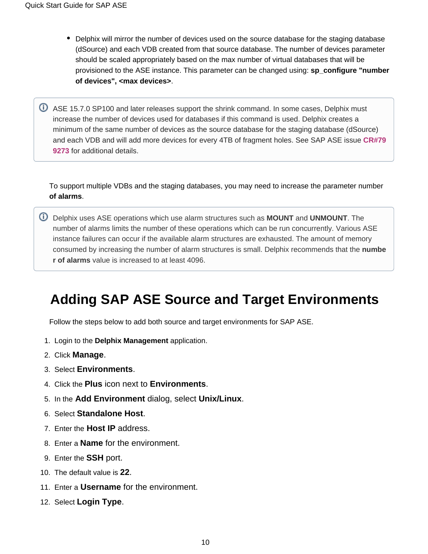- Delphix will mirror the number of devices used on the source database for the staging database (dSource) and each VDB created from that source database. The number of devices parameter should be scaled appropriately based on the max number of virtual databases that will be provisioned to the ASE instance. This parameter can be changed using: **sp\_configure "number of devices", <max devices>**.
- **C** ASE 15.7.0 SP100 and later releases support the shrink command. In some cases, Delphix must increase the number of devices used for databases if this command is used. Delphix creates a minimum of the same number of devices as the source database for the staging database (dSource) and each VDB and will add more devices for every 4TB of fragment holes. See SAP ASE issue **[CR#79](https://launchpad.support.sap.com/#/notes/2332779) [9273](https://launchpad.support.sap.com/#/notes/2332779)** for additional details.

To support multiple VDBs and the staging databases, you may need to increase the parameter number **of alarms**.

Delphix uses ASE operations which use alarm structures such as **MOUNT** and **UNMOUNT**. The number of alarms limits the number of these operations which can be run concurrently. Various ASE instance failures can occur if the available alarm structures are exhausted. The amount of memory consumed by increasing the number of alarm structures is small. Delphix recommends that the **numbe r of alarms** value is increased to at least 4096.

# <span id="page-9-0"></span>**Adding SAP ASE Source and Target Environments**

Follow the steps below to add both source and target environments for SAP ASE.

- 1. Login to the **Delphix Management** application.
- 2. Click **Manage**.
- 3. Select **Environments**.
- 4. Click the **Plus** icon next to **Environments**.
- 5. In the **Add Environment** dialog, select **Unix/Linux**.
- 6. Select **Standalone Host**.
- 7. Enter the **Host IP** address.
- 8. Enter a **Name** for the environment.
- 9. Enter the **SSH** port.
- 10. The default value is **22**.
- 11. Enter a **Username** for the environment.
- 12. Select **Login Type**.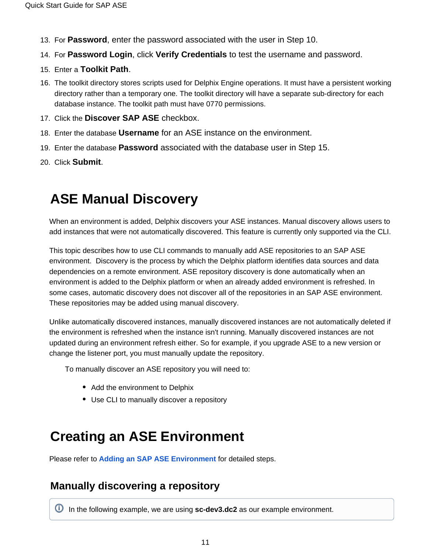- 13. For **Password**, enter the password associated with the user in Step 10.
- 14. For **Password Login**, click **Verify Credentials** to test the username and password.
- 15. Enter a **Toolkit Path**.
- 16. The toolkit directory stores scripts used for Delphix Engine operations. It must have a persistent working directory rather than a temporary one. The toolkit directory will have a separate sub-directory for each database instance. The toolkit path must have 0770 permissions.
- 17. Click the **Discover SAP ASE** checkbox.
- 18. Enter the database **Username** for an ASE instance on the environment.
- 19. Enter the database **Password** associated with the database user in Step 15.
- 20. Click **Submit**.

# <span id="page-10-0"></span>**ASE Manual Discovery**

When an environment is added, Delphix discovers your ASE instances. Manual discovery allows users to add instances that were not automatically discovered. This feature is currently only supported via the CLI.

This topic describes how to use CLI commands to manually add ASE repositories to an SAP ASE environment. Discovery is the process by which the Delphix platform identifies data sources and data dependencies on a remote environment. ASE repository discovery is done automatically when an environment is added to the Delphix platform or when an already added environment is refreshed. In some cases, automatic discovery does not discover all of the repositories in an SAP ASE environment. These repositories may be added using manual discovery.

Unlike automatically discovered instances, manually discovered instances are not automatically deleted if the environment is refreshed when the instance isn't running. Manually discovered instances are not updated during an environment refresh either. So for example, if you upgrade ASE to a new version or change the listener port, you must manually update the repository.

To manually discover an ASE repository you will need to:

- Add the environment to Delphix
- Use CLI to manually discover a repository

# <span id="page-10-1"></span>**Creating an ASE Environment**

Please refer to **[Adding an SAP ASE Environment](https://docs.delphix.com/display/DOCSDEV/.Adding+an+SAP+ASE+Environment+vJocacean)** for detailed steps.

### <span id="page-10-2"></span>**Manually discovering a repository**

In the following example, we are using **sc-dev3.dc2** as our example environment.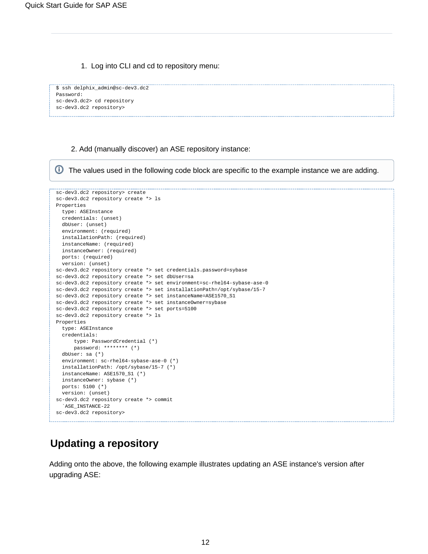⋒

1. Log into CLI and cd to repository menu:

```
$ ssh delphix_admin@sc-dev3.dc2
Password:
sc-dev3.dc2> cd repository
sc-dev3.dc2 repository>
```
2. Add (manually discover) an ASE repository instance:

⊙ The values used in the following code block are specific to the example instance we are adding.sc-dev3.dc2 repository> create sc-dev3.dc2 repository create \*> ls Properties type: ASEInstance credentials: (unset) dbUser: (unset) environment: (required) installationPath: (required) instanceName: (required) instanceOwner: (required) ports: (required) version: (unset) sc-dev3.dc2 repository create \*> set credentials.password=sybase sc-dev3.dc2 repository create \*> set dbUser=sa sc-dev3.dc2 repository create \*> set environment=sc-rhel64-sybase-ase-0 sc-dev3.dc2 repository create \*> set installationPath=/opt/sybase/15-7 sc-dev3.dc2 repository create \*> set instanceName=ASE1570\_S1 sc-dev3.dc2 repository create \*> set instanceOwner=sybase sc-dev3.dc2 repository create \*> set ports=5100 sc-dev3.dc2 repository create \*> ls Properties type: ASEInstance credentials: type: PasswordCredential (\*) password: \*\*\*\*\*\*\*\* (\*) dbUser: sa (\*) environment: sc-rhel64-sybase-ase-0 (\*) installationPath: /opt/sybase/15-7 (\*) instanceName: ASE1570\_S1 (\*) instanceOwner: sybase (\*) ports: 5100 (\*) version: (unset) sc-dev3.dc2 repository create \*> commit `ASE\_INSTANCE-22 sc-dev3.dc2 repository>

### <span id="page-11-0"></span>**Updating a repository**

Adding onto the above, the following example illustrates updating an ASE instance's version after upgrading ASE: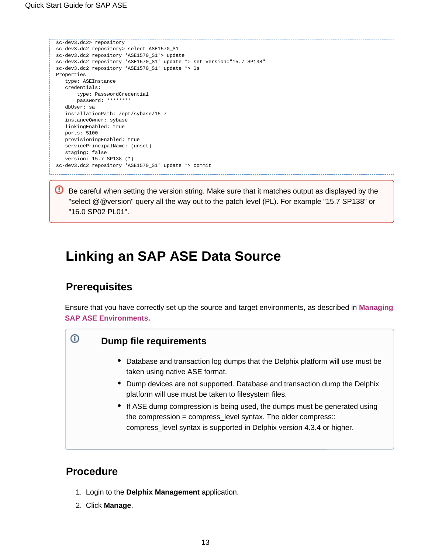```
sc-dev3.dc2> repository
sc-dev3.dc2 repository> select ASE1570_S1
sc-dev3.dc2 repository 'ASE1570_S1'> update
sc-dev3.dc2 repository 'ASE1570_S1' update *> set version="15.7 SP138"
sc-dev3.dc2 repository 'ASE1570_S1' update *> ls
Properties
    type: ASEInstance
    credentials:
       type: PasswordCredential
        password: ********
    dbUser: sa
   installationPath: /opt/sybase/15-7
   instanceOwner: sybase
   linkingEnabled: true
   ports: 5100
    provisioningEnabled: true
   servicePrincipalName: (unset)
   staging: false
    version: 15.7 SP138 (*)
sc-dev3.dc2 repository 'ASE1570_S1' update *> commit
```
**B** Be careful when setting the version string. Make sure that it matches output as displayed by the "select @@version" query all the way out to the patch level (PL). For example "15.7 SP138" or "16.0 SP02 PL01".

# <span id="page-12-4"></span><span id="page-12-0"></span>**Linking an SAP ASE Data Source**

### <span id="page-12-1"></span>**Prerequisites**

<span id="page-12-2"></span>⋒

Ensure that you have correctly set up the source and target environments, as described in **[Managing](https://docs.delphix.com/display/DOCSDEV/.Managing+SAP+ASE+Environments+vIllium) [SAP ASE Environments.](https://docs.delphix.com/display/DOCSDEV/.Managing+SAP+ASE+Environments+vIllium)**

### **Dump file requirements**

- Database and transaction log dumps that the Delphix platform will use must be taken using native ASE format.
- Dump devices are not supported. Database and transaction dump the Delphix platform will use must be taken to filesystem files.
- If ASE dump compression is being used, the dumps must be generated using the compression = compress\_level syntax. The older compress:: compress\_level syntax is supported in Delphix version 4.3.4 or higher.

### <span id="page-12-3"></span>**Procedure**

- 1. Login to the **Delphix Management** application.
- 2. Click **Manage**.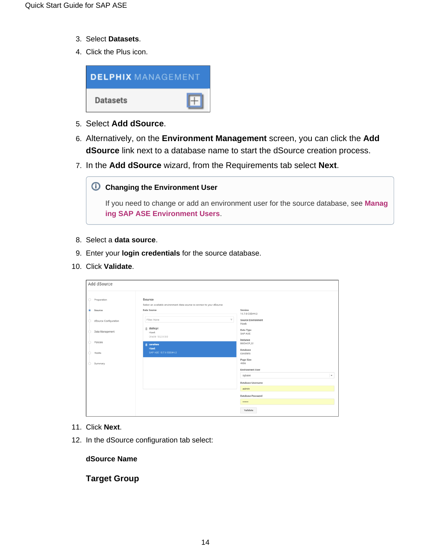- 3. Select **Datasets**.
- 4. Click the Plus icon.



- 5. Select **Add dSource**.
- 6. Alternatively, on the **Environment Management** screen, you can click the **Add dSource** link next to a database name to start the dSource creation process.
- 7. In the **Add dSource** wizard, from the Requirements tab select **Next**.



If you need to change or add an environment user for the source database, see **[Manag](https://docs.delphix.com/display/DOCSDEV/.Managing+SAP+ASE+Environment+Users+vJocacean) [ing SAP ASE Environment Users](https://docs.delphix.com/display/DOCSDEV/.Managing+SAP+ASE+Environment+Users+vJocacean)**.

- 8. Select a **data source**.
- 9. Enter your **login credentials** for the source database.
- 10. Click **Validate**.

|         | Add dSource           |                                                                                   |                            |  |  |
|---------|-----------------------|-----------------------------------------------------------------------------------|----------------------------|--|--|
| $\circ$ | Preparation           | Source<br>Select an available environment /data source to connect to your dSource |                            |  |  |
| ۰       | Source                | Data Source                                                                       | Version<br>15.7.0 ESD#4.2  |  |  |
|         | dSource Configuration | Filter: None<br>$\tau$                                                            | Source Environment<br>Hawk |  |  |
|         | Data Management       | ₿ dbdhcp1<br>Hawk<br>Oracle 10.2.0.5.0                                            | Data Type<br>SAP ASE       |  |  |
|         | Policies              | <b>E</b> cavaliers                                                                | Instance<br>BBDHCP_S1      |  |  |
|         | Hooks                 | Hawk<br>SAP ASE 15.7.0 ESD#4.2                                                    | Database<br>cavaliers      |  |  |
| Ó       | Summary               |                                                                                   | Page Size<br>4096          |  |  |
|         |                       |                                                                                   | <b>Environment User</b>    |  |  |
|         |                       |                                                                                   | $\star$<br>sybase          |  |  |
|         |                       |                                                                                   | Database Username<br>admin |  |  |
|         |                       |                                                                                   | Database Password          |  |  |
|         |                       |                                                                                   |                            |  |  |
|         |                       |                                                                                   | Validate                   |  |  |

- 11. Click **Next**.
- 12. In the dSource configuration tab select:

**dSource Name**

**Target Group**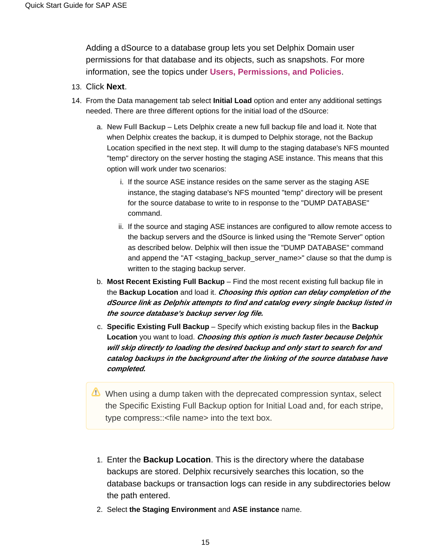Adding a dSource to a database group lets you set Delphix Domain user permissions for that database and its objects, such as snapshots. For more information, see the topics under **[Users, Permissions, and Policies](https://docs.delphix.com/display/DOCSDEV/.Users%2C+Permissions%2C+and+Policies+vIlliumMaintenance)**.

- 13. Click **Next**.
- 14. From the Data management tab select **Initial Load** option and enter any additional settings needed. There are three different options for the initial load of the dSource:
	- a. **New Full Backup** Lets Delphix create a new full backup file and load it. Note that when Delphix creates the backup, it is dumped to Delphix storage, not the Backup Location specified in the next step. It will dump to the staging database's NFS mounted "temp" directory on the server hosting the staging ASE instance. This means that this option will work under two scenarios:
		- i. If the source ASE instance resides on the same server as the staging ASE instance, the staging database's NFS mounted "temp" directory will be present for the source database to write to in response to the "DUMP DATABASE" command.
		- ii. If the source and staging ASE instances are configured to allow remote access to the backup servers and the dSource is linked using the "Remote Server" option as described below. Delphix will then issue the "DUMP DATABASE" command and append the "AT <staging\_backup\_server\_name>" clause so that the dump is written to the staging backup server.
	- b. **Most Recent Existing Full Backup** Find the most recent existing full backup file in the **Backup Location** and load it. **Choosing this option can delay completion of the dSource link as Delphix attempts to find and catalog every single backup listed in the source database's backup server log file.**
	- c. **Specific Existing Full Backup** Specify which existing backup files in the **Backup Location** you want to load. **Choosing this option is much faster because Delphix will skip directly to loading the desired backup and only start to search for and catalog backups in the background after the linking of the source database have completed.**
	- When using a dump taken with the deprecated compression syntax, select the Specific Existing Full Backup option for Initial Load and, for each stripe, type compress::<file name> into the text box.
	- 1. Enter the **Backup Location**. This is the directory where the database backups are stored. Delphix recursively searches this location, so the database backups or transaction logs can reside in any subdirectories below the path entered.
	- 2. Select **the Staging Environment** and **ASE instance** name.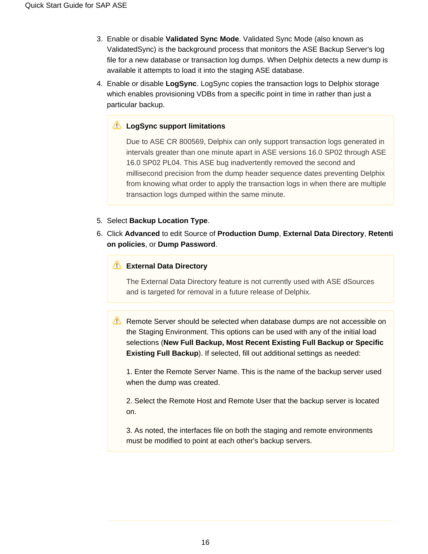- 3. Enable or disable **Validated Sync Mode**. Validated Sync Mode (also known as ValidatedSync) is the background process that monitors the ASE Backup Server's log file for a new database or transaction log dumps. When Delphix detects a new dump is available it attempts to load it into the staging ASE database.
- 4. Enable or disable **LogSync**. LogSync copies the transaction logs to Delphix storage which enables provisioning VDBs from a specific point in time in rather than just a particular backup.

#### **LogSync support limitations**

Due to ASE CR 800569, Delphix can only support transaction logs generated in intervals greater than one minute apart in ASE versions 16.0 SP02 through ASE 16.0 SP02 PL04. This ASE bug inadvertently removed the second and millisecond precision from the dump header sequence dates preventing Delphix from knowing what order to apply the transaction logs in when there are multiple transaction logs dumped within the same minute.

#### 5. Select **Backup Location Type**.

6. Click **Advanced** to edit Source of **Production Dump**, **External Data Directory**, **Retenti on policies**, or **Dump Password**.

#### **External Data Directory**

The External Data Directory feature is not currently used with ASE dSources and is targeted for removal in a future release of Delphix.

**Remote Server should be selected when database dumps are not accessible on** the Staging Environment. This options can be used with any of the initial load selections (**New Full Backup, Most Recent Existing Full Backup or Specific Existing Full Backup**). If selected, fill out additional settings as needed:

1. Enter the Remote Server Name. This is the name of the backup server used when the dump was created.

2. Select the Remote Host and Remote User that the backup server is located on.

3. As noted, the interfaces file on both the staging and remote environments must be modified to point at each other's backup servers.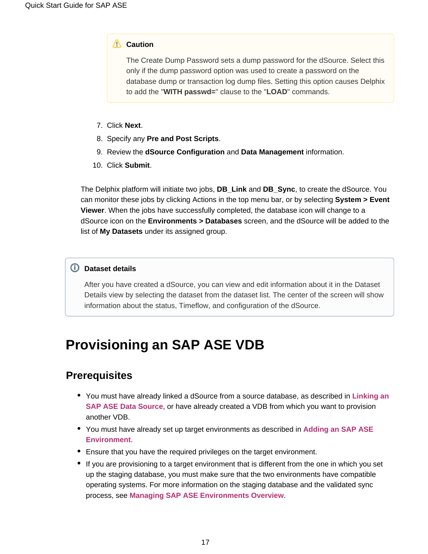#### **Caution**

The Create Dump Password sets a dump password for the dSource. Select this only if the dump password option was used to create a password on the database dump or transaction log dump files. Setting this option causes Delphix to add the "**WITH passwd=**" clause to the "**LOAD**" commands.

- 7. Click **Next**.
- 8. Specify any **Pre and Post Scripts**.
- 9. Review the **dSource Configuration** and **Data Management** information.
- 10. Click **Submit**.

The Delphix platform will initiate two jobs, **DB\_Link** and **DB\_Sync**, to create the dSource. You can monitor these jobs by clicking Actions in the top menu bar, or by selecting **System > Event Viewer**. When the jobs have successfully completed, the database icon will change to a dSource icon on the **Environments > Databases** screen, and the dSource will be added to the list of **My Datasets** under its assigned group.

#### **Dataset details**

After you have created a dSource, you can view and edit information about it in the Dataset Details view by selecting the dataset from the dataset list. The center of the screen will show information about the status, Timeflow, and configuration of the dSource.

# <span id="page-16-3"></span><span id="page-16-0"></span>**Provisioning an SAP ASE VDB**

### <span id="page-16-1"></span>**Prerequisites**

- You must have already linked a dSource from a source database, as described in **[Linking an](https://docs.delphix.com/display/DOCSDEV/.Linking+an+SAP+ASE+Data+Source+vJocacean)  [SAP ASE Data Source](https://docs.delphix.com/display/DOCSDEV/.Linking+an+SAP+ASE+Data+Source+vJocacean)**, or have already created a VDB from which you want to provision another VDB.
- You must have already set up target environments as described in **[Adding an SAP ASE](https://docs.delphix.com/display/DOCSDEV/.Adding+an+SAP+ASE+Environment+vJocacean)  [Environment](https://docs.delphix.com/display/DOCSDEV/.Adding+an+SAP+ASE+Environment+vJocacean)**.
- Ensure that you have the required privileges on the target environment.
- <span id="page-16-2"></span>If you are provisioning to a target environment that is different from the one in which you set up the staging database, you must make sure that the two environments have compatible operating systems. For more information on the staging database and the validated sync process, see **[Managing SAP ASE Environments Overview](https://docs.delphix.com/display/DOCSDEV/.Managing+SAP+ASE+Environments+Overview+vJocacean)**.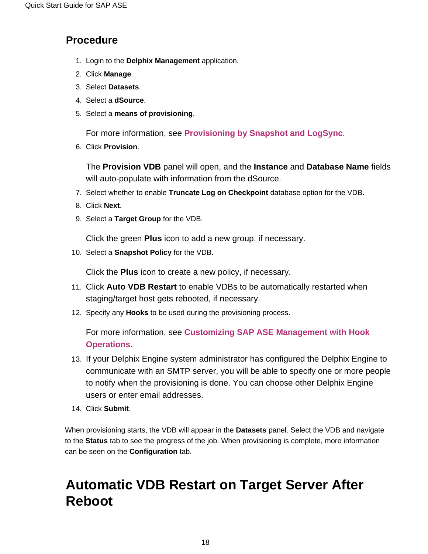### **Procedure**

- 1. Login to the **Delphix Management** application.
- 2. Click **Manage**
- 3. Select **Datasets**.
- 4. Select a **dSource**.
- 5. Select a **means of provisioning**.

For more information, see **[Provisioning by Snapshot and LogSync](http://docs.delphix.com/display/DOCSDEV/Provisioning+a+SQL+Server+VDB#ProvisioningaSQLServerVDB-ProvisioningInfo)**.

6. Click **Provision**.

The **Provision VDB** panel will open, and the **Instance** and **Database Name** fields will auto-populate with information from the dSource.

- 7. Select whether to enable **Truncate Log on Checkpoint** database option for the VDB.
- 8. Click **Next**.
- 9. Select a **Target Group** for the VDB.

Click the green **Plus** icon to add a new group, if necessary.

10. Select a **Snapshot Policy** for the VDB.

Click the **Plus** icon to create a new policy, if necessary.

- 11. Click **Auto VDB Restart** to enable VDBs to be automatically restarted when staging/target host gets rebooted, if necessary.
- 12. Specify any **Hooks** to be used during the provisioning process.

For more information, see **[Customizing SAP ASE Management with Hook](https://docs.delphix.com/display/DOCSDEV/.Customizing+SAP+ASE+Management+with+Hook+Operations+vJocacean)  [Operations](https://docs.delphix.com/display/DOCSDEV/.Customizing+SAP+ASE+Management+with+Hook+Operations+vJocacean)**.

- 13. If your Delphix Engine system administrator has configured the Delphix Engine to communicate with an SMTP server, you will be able to specify one or more people to notify when the provisioning is done. You can choose other Delphix Engine users or enter email addresses.
- 14. Click **Submit**.

When provisioning starts, the VDB will appear in the **Datasets** panel. Select the VDB and navigate to the **Status** tab to see the progress of the job. When provisioning is complete, more information can be seen on the **Configuration** tab.

# <span id="page-17-0"></span>**Automatic VDB Restart on Target Server After Reboot**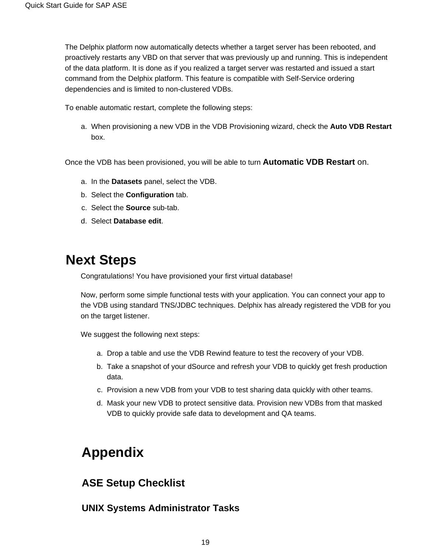The Delphix platform now automatically detects whether a target server has been rebooted, and proactively restarts any VBD on that server that was previously up and running. This is independent of the data platform. It is done as if you realized a target server was restarted and issued a start command from the Delphix platform. This feature is compatible with Self-Service ordering dependencies and is limited to non-clustered VDBs.

To enable automatic restart, complete the following steps:

a. When provisioning a new VDB in the VDB Provisioning wizard, check the **Auto VDB Restart** box.

Once the VDB has been provisioned, you will be able to turn **Automatic VDB Restart** on.

- a. In the **Datasets** panel, select the VDB.
- b. Select the **Configuration** tab.
- c. Select the **Source** sub-tab.
- d. Select **Database edit**.

## <span id="page-18-0"></span>**Next Steps**

Congratulations! You have provisioned your first virtual database!

Now, perform some simple functional tests with your application. You can connect your app to the VDB using standard TNS/JDBC techniques. Delphix has already registered the VDB for you on the target listener.

We suggest the following next steps:

- a. Drop a table and use the VDB Rewind feature to test the recovery of your VDB.
- b. Take a snapshot of your dSource and refresh your VDB to quickly get fresh production data.
- c. Provision a new VDB from your VDB to test sharing data quickly with other teams.
- d. Mask your new VDB to protect sensitive data. Provision new VDBs from that masked VDB to quickly provide safe data to development and QA teams.

# <span id="page-18-1"></span>**Appendix**

### <span id="page-18-2"></span>**ASE Setup Checklist**

### <span id="page-18-4"></span><span id="page-18-3"></span>**UNIX Systems Administrator Tasks**